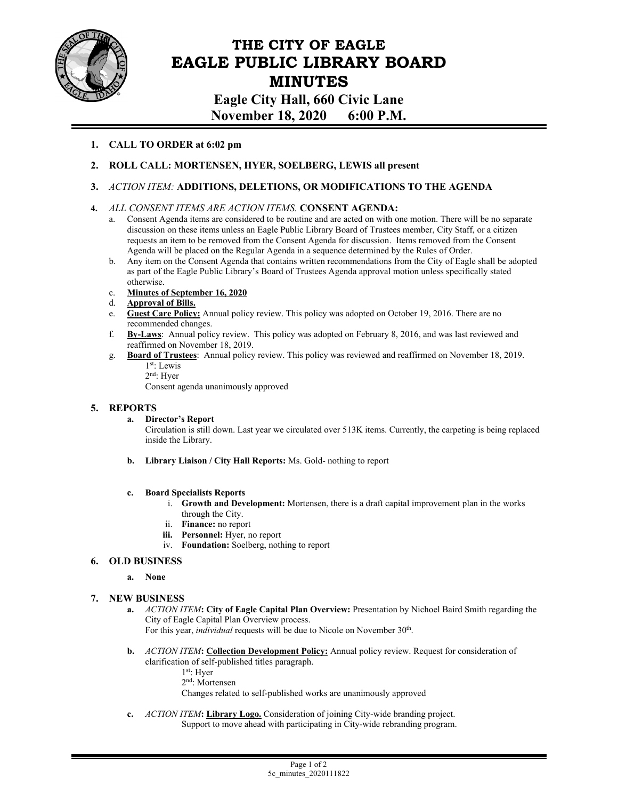

# **THE CITY OF EAGLE EAGLE PUBLIC LIBRARY BOARD MINUTES**

**Eagle City Hall, 660 Civic Lane November 18, 2020 6:00 P.M.** 

# **1. CALL TO ORDER at 6:02 pm**

- **2. ROLL CALL: MORTENSEN, HYER, SOELBERG, LEWIS all present**
- **3.** *ACTION ITEM:* **ADDITIONS, DELETIONS, OR MODIFICATIONS TO THE AGENDA**

## **4.** *ALL CONSENT ITEMS ARE ACTION ITEMS.* **CONSENT AGENDA:**

- a. Consent Agenda items are considered to be routine and are acted on with one motion. There will be no separate discussion on these items unless an Eagle Public Library Board of Trustees member, City Staff, or a citizen requests an item to be removed from the Consent Agenda for discussion. Items removed from the Consent Agenda will be placed on the Regular Agenda in a sequence determined by the Rules of Order.
- b. Any item on the Consent Agenda that contains written recommendations from the City of Eagle shall be adopted as part of the Eagle Public Library's Board of Trustees Agenda approval motion unless specifically stated otherwise.
- c. **Minutes of September 16, 2020**<br>d. **Approval of Bills.**
- 
- d. **Approval of Bills. Guest Care Policy:** Annual policy review. This policy was adopted on October 19, 2016. There are no recommended changes.
- f. **By-Laws**: Annual policy review. This policy was adopted on February 8, 2016, and was last reviewed and reaffirmed on November 18, 2019.
- g. **Board of Trustees**: Annual policy review. This policy was reviewed and reaffirmed on November 18, 2019. 1st: Lewis
	- 2nd: Hyer

Consent agenda unanimously approved

## **5. REPORTS**

#### **a. Director's Report**

Circulation is still down. Last year we circulated over 513K items. Currently, the carpeting is being replaced inside the Library.

**b. Library Liaison / City Hall Reports:** Ms. Gold- nothing to report

#### **c. Board Specialists Reports**

- i. **Growth and Development:** Mortensen, there is a draft capital improvement plan in the works through the City.
- ii. **Finance:** no report
- **iii. Personnel:** Hyer, no report
- iv. **Foundation:** Soelberg, nothing to report

## **6. OLD BUSINESS**

**a. None** 

## **7. NEW BUSINESS**

- **a.** *ACTION ITEM***: City of Eagle Capital Plan Overview:** Presentation by Nichoel Baird Smith regarding the City of Eagle Capital Plan Overview process. For this year, *individual* requests will be due to Nicole on November 30<sup>th</sup>.
- **b.** *ACTION ITEM***: Collection Development Policy:** Annual policy review. Request for consideration of clarification of self-published titles paragraph.
	- 1st: Hyer
		- 2nd: Mortensen
		- Changes related to self-published works are unanimously approved
- **c.** *ACTION ITEM***: Library Logo.** Consideration of joining City-wide branding project. Support to move ahead with participating in City-wide rebranding program.